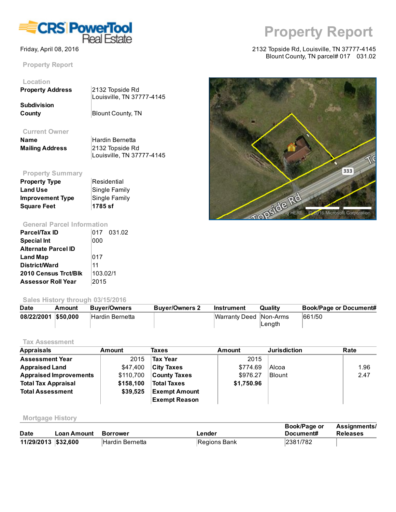

Property Report

# Location

| <b>Property Address</b> | 2132 Topside Rd           |
|-------------------------|---------------------------|
|                         | Louisville, TN 37777-4145 |
| Subdivision             |                           |
| County                  | <b>Blount County, TN</b>  |

#### Current Owner

| Name                   | Hardin Bernetta           |
|------------------------|---------------------------|
| <b>Mailing Address</b> | 2132 Topside Rd           |
|                        | Louisville, TN 37777-4145 |

# Property Summary

| <b>Property Type</b>    | Residential   |
|-------------------------|---------------|
| <b>Land Use</b>         | Single Family |
| <b>Improvement Type</b> | Single Family |
| <b>Square Feet</b>      | 1785 sf       |

## General Parcel Information

| Parcel/Tax ID               |          | 017 031.02 |
|-----------------------------|----------|------------|
| <b>Special Int</b>          | 000      |            |
| <b>Alternate Parcel ID</b>  |          |            |
| <b>Land Map</b>             | 017      |            |
| <b>District/Ward</b>        | 11       |            |
| <b>2010 Census Trct/Blk</b> | 103.02/1 |            |
| <b>Assessor Roll Year</b>   | 2015     |            |

### Sales History through 03/15/2016

| <b>Date</b>         | Amount | <b>Buver/Owners</b>    | <b>Buver/Owners 2</b> | Instrument             | Quality | <b>Book/Page or Document#</b> |
|---------------------|--------|------------------------|-----------------------|------------------------|---------|-------------------------------|
| 08/22/2001 \$50,000 |        | <b>Hardin Bernetta</b> |                       | Warranty Deed Non-Arms |         | 661/50                        |
|                     |        |                        |                       |                        | ∣Length |                               |

### Tax Assessment

| <b>Appraisals</b>             | Amount    | Taxes                | Amount     | <b>Jurisdiction</b> | Rate |
|-------------------------------|-----------|----------------------|------------|---------------------|------|
| <b>Assessment Year</b>        | 2015      | <b>Tax Year</b>      | 2015       |                     |      |
| <b>Appraised Land</b>         | \$47,400  | <b>City Taxes</b>    | \$774.69   | Alcoa               | 1.96 |
| <b>Appraised Improvements</b> | \$110,700 | <b>County Taxes</b>  | \$976.27   | <b>Blount</b>       | 2.47 |
| <b>Total Tax Appraisal</b>    | \$158,100 | <b>Total Taxes</b>   | \$1,750.96 |                     |      |
| <b>Total Assessment</b>       | \$39,525  | <b>Exempt Amount</b> |            |                     |      |
|                               |           | <b>Exempt Reason</b> |            |                     |      |

#### Mortgage History

| <b>Date</b>         | Loan Amount Borrower |                 | ∟ender       | Book/Page or<br>Document# | <b>Assignments/</b><br><b>Releases</b> |
|---------------------|----------------------|-----------------|--------------|---------------------------|----------------------------------------|
| 11/29/2013 \$32,600 |                      | Hardin Bernetta | Regions Bank | 2381/782                  |                                        |

# Property Report

#### Friday, April 08, 2016 2132 Topside Rd, Louisville, TN 37777-4145 Blount County, TN parcel# 017 031.02